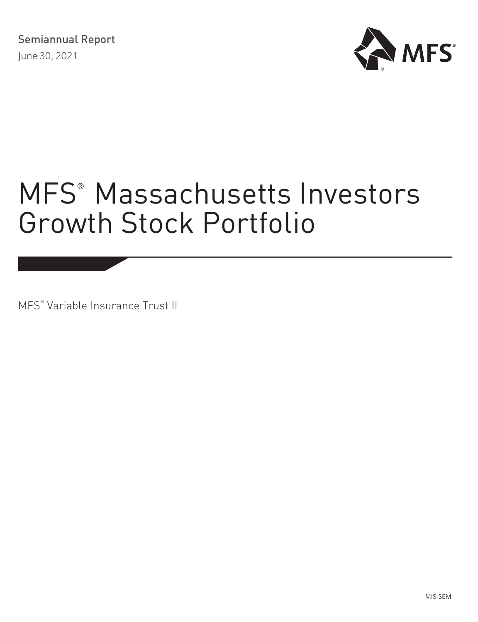

MFS® Variable Insurance Trust II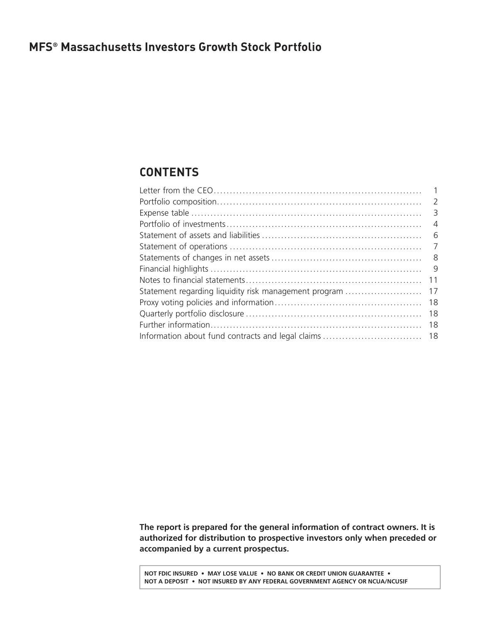# <span id="page-1-0"></span>**CONTENTS**

|                                                       | 1              |
|-------------------------------------------------------|----------------|
|                                                       | $\overline{2}$ |
|                                                       |                |
|                                                       | $\overline{4}$ |
|                                                       | - 6            |
|                                                       | - 7            |
|                                                       | - 8            |
|                                                       | - 9            |
|                                                       | 11             |
| Statement regarding liquidity risk management program | 17             |
|                                                       | 18             |
|                                                       | 18             |
|                                                       | 18             |
|                                                       |                |
|                                                       |                |

**The report is prepared for the general information of contract owners. It is authorized for distribution to prospective investors only when preceded or accompanied by a current prospectus.**

**NOT FDIC INSURED • MAY LOSE VALUE • NO BANK OR CREDIT UNION GUARANTEE • NOT A DEPOSIT • NOT INSURED BY ANY FEDERAL GOVERNMENT AGENCY OR NCUA/NCUSIF**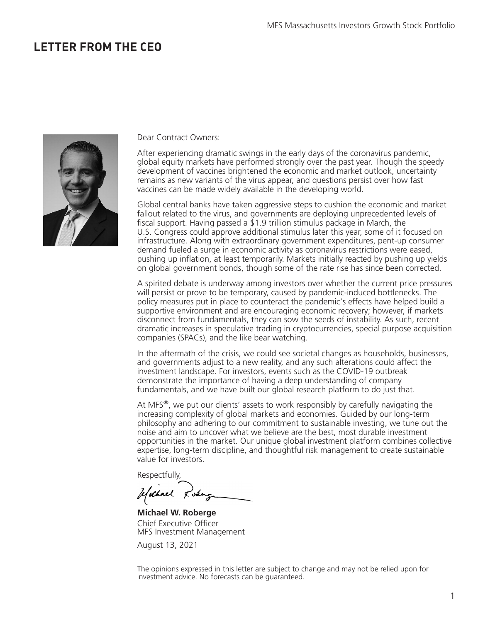# <span id="page-2-0"></span>**LETTER FROM THE CEO**



Dear Contract Owners:

After experiencing dramatic swings in the early days of the coronavirus pandemic, global equity markets have performed strongly over the past year. Though the speedy development of vaccines brightened the economic and market outlook, uncertainty remains as new variants of the virus appear, and questions persist over how fast vaccines can be made widely available in the developing world.

Global central banks have taken aggressive steps to cushion the economic and market fallout related to the virus, and governments are deploying unprecedented levels of fiscal support. Having passed a  $\overline{2}1.9$  trillion stimulus package in March, the U.S. Congress could approve additional stimulus later this year, some of it focused on infrastructure. Along with extraordinary government expenditures, pent-up consumer demand fueled a surge in economic activity as coronavirus restrictions were eased, pushing up inflation, at least temporarily. Markets initially reacted by pushing up yields on global government bonds, though some of the rate rise has since been corrected.

A spirited debate is underway among investors over whether the current price pressures will persist or prove to be temporary, caused by pandemic-induced bottlenecks. The policy measures put in place to counteract the pandemic's effects have helped build a supportive environment and are encouraging economic recovery; however, if markets disconnect from fundamentals, they can sow the seeds of instability. As such, recent dramatic increases in speculative trading in cryptocurrencies, special purpose acquisition companies (SPACs), and the like bear watching.

In the aftermath of the crisis, we could see societal changes as households, businesses, and governments adjust to a new reality, and any such alterations could affect the investment landscape. For investors, events such as the COVID-19 outbreak demonstrate the importance of having a deep understanding of company fundamentals, and we have built our global research platform to do just that.

At MFS $^{\circ}$ , we put our clients' assets to work responsibly by carefully navigating the increasing complexity of global markets and economies. Guided by our long-term philosophy and adhering to our commitment to sustainable investing, we tune out the noise and aim to uncover what we believe are the best, most durable investment opportunities in the market. Our unique global investment platform combines collective expertise, long-term discipline, and thoughtful risk management to create sustainable value for investors.

Respectfully,

Uschnel Losing

**Michael W. Roberge** Chief Executive Officer MFS Investment Management

August 13, 2021

The opinions expressed in this letter are subject to change and may not be relied upon for investment advice. No forecasts can be guaranteed.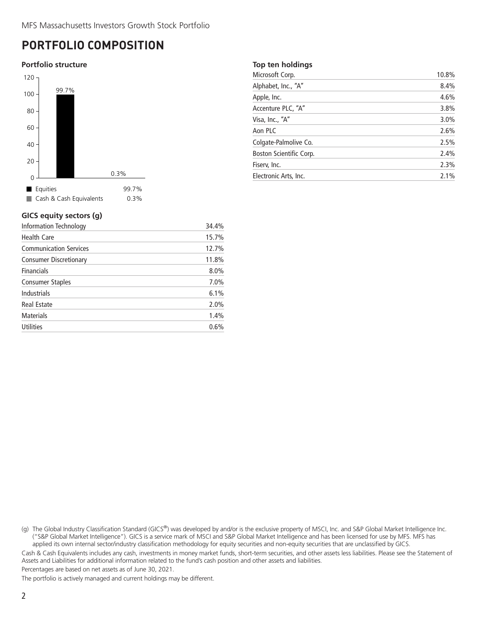# <span id="page-3-0"></span>**PORTFOLIO COMPOSITION**

### **Portfolio structure**



# **GICS equity sectors (g)**

| Information Technology        | 34.4% |
|-------------------------------|-------|
| <b>Health Care</b>            | 15.7% |
| <b>Communication Services</b> | 12.7% |
| <b>Consumer Discretionary</b> | 11.8% |
| <b>Financials</b>             | 8.0%  |
| <b>Consumer Staples</b>       | 7.0%  |
| <b>Industrials</b>            | 6.1%  |
| <b>Real Estate</b>            | 2.0%  |
| <b>Materials</b>              | 1.4%  |
| <b>Utilities</b>              | 0.6%  |
|                               |       |

### **Top ten holdings**

| Microsoft Corp.         | 10.8% |
|-------------------------|-------|
| Alphabet, Inc., "A"     | 8.4%  |
| Apple, Inc.             | 4.6%  |
| Accenture PLC, "A"      | 3.8%  |
| Visa, Inc., "A"         | 3.0%  |
| Aon PLC                 | 2.6%  |
| Colgate-Palmolive Co.   | 2.5%  |
| Boston Scientific Corp. | 2.4%  |
| Fisery, Inc.            | 2.3%  |
| Electronic Arts, Inc.   | 2.1%  |

(g) The Global Industry Classification Standard (GICS®) was developed by and/or is the exclusive property of MSCI, Inc. and S&P Global Market Intelligence Inc. ("S&P Global Market Intelligence"). GICS is a service mark of MSCI and S&P Global Market Intelligence and has been licensed for use by MFS. MFS has applied its own internal sector/industry classification methodology for equity securities and non-equity securities that are unclassified by GICS.

Cash & Cash Equivalents includes any cash, investments in money market funds, short-term securities, and other assets less liabilities. Please see the Statement of Assets and Liabilities for additional information related to the fund's cash position and other assets and liabilities.

Percentages are based on net assets as of June 30, 2021.

The portfolio is actively managed and current holdings may be different.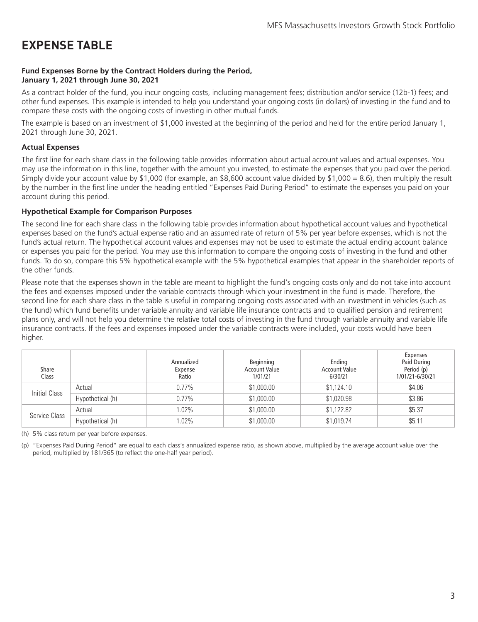# <span id="page-4-0"></span>**EXPENSE TABLE**

### **Fund Expenses Borne by the Contract Holders during the Period, January 1, 2021 through June 30, 2021**

As a contract holder of the fund, you incur ongoing costs, including management fees; distribution and/or service (12b-1) fees; and other fund expenses. This example is intended to help you understand your ongoing costs (in dollars) of investing in the fund and to compare these costs with the ongoing costs of investing in other mutual funds.

The example is based on an investment of \$1,000 invested at the beginning of the period and held for the entire period January 1, 2021 through June 30, 2021.

### **Actual Expenses**

The first line for each share class in the following table provides information about actual account values and actual expenses. You may use the information in this line, together with the amount you invested, to estimate the expenses that you paid over the period. Simply divide your account value by \$1,000 (for example, an \$8,600 account value divided by \$1,000 = 8.6), then multiply the result by the number in the first line under the heading entitled "Expenses Paid During Period" to estimate the expenses you paid on your account during this period.

### **Hypothetical Example for Comparison Purposes**

The second line for each share class in the following table provides information about hypothetical account values and hypothetical expenses based on the fund's actual expense ratio and an assumed rate of return of 5% per year before expenses, which is not the fund's actual return. The hypothetical account values and expenses may not be used to estimate the actual ending account balance or expenses you paid for the period. You may use this information to compare the ongoing costs of investing in the fund and other funds. To do so, compare this 5% hypothetical example with the 5% hypothetical examples that appear in the shareholder reports of the other funds.

Please note that the expenses shown in the table are meant to highlight the fund's ongoing costs only and do not take into account the fees and expenses imposed under the variable contracts through which your investment in the fund is made. Therefore, the second line for each share class in the table is useful in comparing ongoing costs associated with an investment in vehicles (such as the fund) which fund benefits under variable annuity and variable life insurance contracts and to qualified pension and retirement plans only, and will not help you determine the relative total costs of investing in the fund through variable annuity and variable life insurance contracts. If the fees and expenses imposed under the variable contracts were included, your costs would have been higher.

| Share<br>Class |                  | Annualized<br>Expense<br>Ratio | Beginning<br><b>Account Value</b><br>1/01/21 | Ending<br><b>Account Value</b><br>6/30/21 | <b>Expenses</b><br>Paid During<br>Period (p)<br>1/01/21-6/30/21 |
|----------------|------------------|--------------------------------|----------------------------------------------|-------------------------------------------|-----------------------------------------------------------------|
| Initial Class  | Actual           | $0.77\%$                       | \$1,000.00                                   | \$1,124.10                                | \$4.06                                                          |
|                | Hypothetical (h) | $0.77\%$                       | \$1,000.00                                   | \$1,020.98                                | \$3.86                                                          |
|                | Actual           | 1.02%                          | \$1,000.00                                   | \$1,122.82                                | \$5.37                                                          |
| Service Class  | Hypothetical (h) | 1.02%                          | \$1,000.00                                   | \$1,019.74                                | \$5.11                                                          |

(h) 5% class return per year before expenses.

(p) "Expenses Paid During Period" are equal to each class's annualized expense ratio, as shown above, multiplied by the average account value over the period, multiplied by 181/365 (to reflect the one-half year period).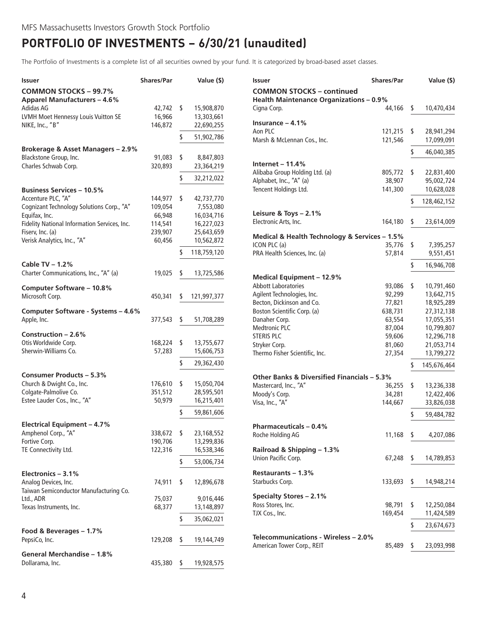# <span id="page-5-0"></span>**PORTFOLIO OF INVESTMENTS − 6/30/21 (unaudited)**

The Portfolio of Investments is a complete list of all securities owned by your fund. It is categorized by broad-based asset classes.

| Issuer                                                 | <b>Shares/Par</b> |      | Value (\$)              | <b>Shares/Par</b><br>Issuer                                       |           |     | Value (\$)  |
|--------------------------------------------------------|-------------------|------|-------------------------|-------------------------------------------------------------------|-----------|-----|-------------|
| <b>COMMON STOCKS - 99.7%</b>                           |                   |      |                         | <b>COMMON STOCKS - continued</b>                                  |           |     |             |
| <b>Apparel Manufacturers - 4.6%</b>                    |                   |      |                         | <b>Health Maintenance Organizations - 0.9%</b>                    |           |     |             |
| Adidas AG                                              | 42,742 \$         |      | 15,908,870              | Cigna Corp.<br>44,166                                             |           | - S | 10,470,434  |
| LVMH Moet Hennessy Louis Vuitton SE                    | 16,966            |      | 13,303,661              | Insurance $-4.1%$                                                 |           |     |             |
| NIKE, Inc., "B"                                        | 146,872           |      | 22,690,255              | Aon PLC<br>$121,215$ \$                                           |           |     | 28,941,294  |
|                                                        |                   | \$   | 51,902,786              | Marsh & McLennan Cos., Inc.<br>121,546                            |           |     | 17,099,091  |
| Brokerage & Asset Managers - 2.9%                      |                   |      |                         |                                                                   |           | \$  | 46,040,385  |
| Blackstone Group, Inc.                                 | 91,083            | \$   | 8,847,803               |                                                                   |           |     |             |
| Charles Schwab Corp.                                   | 320,893           |      | 23,364,219              | Internet - $11.4%$                                                |           |     |             |
|                                                        |                   | \$   | 32,212,022              | Alibaba Group Holding Ltd. (a)<br>805,772                         |           | S.  | 22,831,400  |
|                                                        |                   |      |                         | Alphabet, Inc., "A" (a)<br>38,907<br>Tencent Holdings Ltd.        |           |     | 95,002,724  |
| <b>Business Services - 10.5%</b><br>Accenture PLC, "A" | 144,977 \$        |      |                         | 141,300                                                           |           |     | 10,628,028  |
| Cognizant Technology Solutions Corp., "A"              | 109,054           |      | 42,737,770<br>7,553,080 |                                                                   |           | S   | 128,462,152 |
| Equifax, Inc.                                          | 66,948            |      | 16,034,716              | Leisure & Toys - 2.1%                                             |           |     |             |
| Fidelity National Information Services, Inc.           | 114,541           |      | 16,227,023              | Electronic Arts, Inc.<br>164,180                                  |           | -S  | 23,614,009  |
| Fiserv, Inc. (a)                                       | 239,907           |      | 25,643,659              |                                                                   |           |     |             |
| Verisk Analytics, Inc., "A"                            | 60,456            |      | 10,562,872              | Medical & Health Technology & Services - 1.5%                     |           |     |             |
|                                                        |                   |      | 118,759,120             | ICON PLC (a)<br>35,776<br>PRA Health Sciences, Inc. (a)<br>57,814 |           | S.  | 7,395,257   |
|                                                        |                   |      |                         |                                                                   |           |     | 9,551,451   |
| Cable TV - 1.2%                                        |                   |      |                         |                                                                   |           | \$  | 16,946,708  |
| Charter Communications, Inc., "A" (a)                  | 19,025            | S    | 13,725,586              | Medical Equipment - 12.9%                                         |           |     |             |
| Computer Software - 10.8%                              |                   |      |                         | <b>Abbott Laboratories</b>                                        | 93,086 \$ |     | 10,791,460  |
| Microsoft Corp.                                        | 450,341           | S    | 121,997,377             | Agilent Technologies, Inc.<br>92,299                              |           |     | 13,642,715  |
|                                                        |                   |      |                         | Becton, Dickinson and Co.<br>77,821                               |           |     | 18,925,289  |
| Computer Software - Systems - 4.6%                     |                   |      |                         | Boston Scientific Corp. (a)<br>638,731                            |           |     | 27,312,138  |
| Apple, Inc.                                            | 377,543           | \$   | 51,708,289              | Danaher Corp.<br>63,554                                           |           |     | 17,055,351  |
| Construction $-2.6%$                                   |                   |      |                         | 87,004<br><b>Medtronic PLC</b>                                    |           |     | 10,799,807  |
| Otis Worldwide Corp.                                   | 168,224 \$        |      | 13,755,677              | <b>STERIS PLC</b><br>59,606                                       |           |     | 12,296,718  |
| Sherwin-Williams Co.                                   | 57,283            |      | 15,606,753              | Stryker Corp.<br>81,060                                           |           |     | 21,053,714  |
|                                                        |                   |      |                         | Thermo Fisher Scientific, Inc.<br>27,354                          |           |     | 13,799,272  |
|                                                        |                   | S    | 29,362,430              |                                                                   |           | ٢   | 145,676,464 |
| <b>Consumer Products - 5.3%</b>                        |                   |      |                         | Other Banks & Diversified Financials - 5.3%                       |           |     |             |
| Church & Dwight Co., Inc.                              | 176,610           | - \$ | 15,050,704              | Mastercard, Inc., "A"<br>36,255                                   |           | s   | 13,236,338  |
| Colgate-Palmolive Co.                                  | 351,512           |      | 28,595,501              | Moody's Corp.<br>34,281                                           |           |     | 12,422,406  |
| Estee Lauder Cos., Inc., "A"                           | 50,979            |      | 16,215,401              | Visa, Inc., "A"<br>144,667                                        |           |     | 33,826,038  |
|                                                        |                   | \$   | 59,861,606              |                                                                   |           | \$  | 59,484,782  |
| <b>Electrical Equipment - 4.7%</b>                     |                   |      |                         | <b>Pharmaceuticals - 0.4%</b>                                     |           |     |             |
| Amphenol Corp., "A"                                    | 338,672           | \$   | 23,168,552              | $11,168$ \$<br>Roche Holding AG                                   |           |     | 4,207,086   |
| Fortive Corp.                                          | 190,706           |      | 13,299,836              |                                                                   |           |     |             |
| TE Connectivity Ltd.                                   | 122,316           |      | 16,538,346              | Railroad & Shipping - 1.3%                                        |           |     |             |
|                                                        |                   | S    | 53,006,734              | Union Pacific Corp.<br>67,248                                     |           | S   | 14,789,853  |
|                                                        |                   |      |                         |                                                                   |           |     |             |
| Electronics - 3.1%                                     |                   |      |                         | Restaurants - 1.3%<br>Starbucks Corp.                             |           |     |             |
| Analog Devices, Inc.                                   | 74,911            | \$   | 12,896,678              | 133,693                                                           |           | -S  | 14,948,214  |
| Taiwan Semiconductor Manufacturing Co.<br>Ltd., ADR    | 75,037            |      | 9,016,446               | <b>Specialty Stores - 2.1%</b>                                    |           |     |             |
| Texas Instruments, Inc.                                | 68,377            |      | 13,148,897              | 98,791<br>Ross Stores, Inc.                                       |           | S   | 12,250,084  |
|                                                        |                   |      |                         | 169,454<br>TJX Cos., Inc.                                         |           |     | 11,424,589  |
|                                                        |                   | S    | 35,062,021              |                                                                   |           | \$  | 23,674,673  |
| Food & Beverages - 1.7%                                |                   |      |                         |                                                                   |           |     |             |
| PepsiCo, Inc.                                          | 129,208           | S    | 19,144,749              | Telecommunications - Wireless - 2.0%                              |           |     |             |
| General Merchandise - 1.8%                             |                   |      |                         | American Tower Corp., REIT<br>85,489                              |           | S   | 23,093,998  |
| Dollarama, Inc.                                        | 435,380           | - S  | 19,928,575              |                                                                   |           |     |             |
|                                                        |                   |      |                         |                                                                   |           |     |             |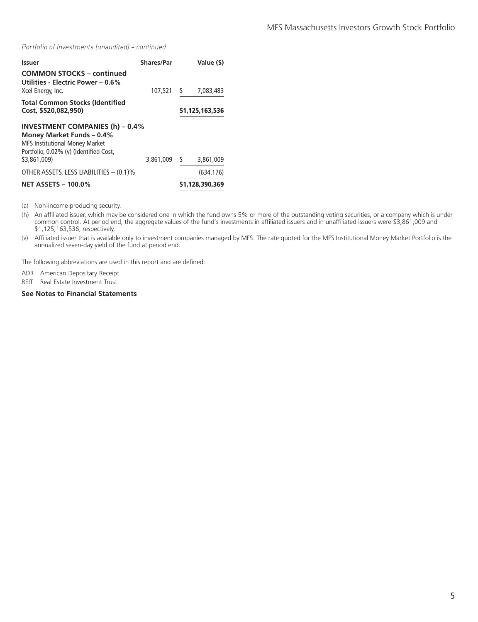*Portfolio of Investments (unaudited) – continued*

| Issuer                                                                                                                                                                 | <b>Shares/Par</b> |    | Value (\$)      |
|------------------------------------------------------------------------------------------------------------------------------------------------------------------------|-------------------|----|-----------------|
| <b>COMMON STOCKS - continued</b><br>Utilities - Electric Power – 0.6%<br>Xcel Energy, Inc.                                                                             | 107,521           | S  | 7,083,483       |
| <b>Total Common Stocks (Identified</b><br>Cost, \$520,082,950)                                                                                                         |                   |    | \$1,125,163,536 |
| <b>INVESTMENT COMPANIES (h) - 0.4%</b><br>Money Market Funds – 0.4%<br><b>MFS Institutional Money Market</b><br>Portfolio, 0.02% (v) (Identified Cost,<br>\$3,861,009) | 3,861,009         | \$ | 3,861,009       |
| OTHER ASSETS, LESS LIABILITIES - (0.1)%                                                                                                                                |                   |    | (634.176)       |
| <b>NET ASSETS - 100.0%</b>                                                                                                                                             |                   |    | \$1,128,390,369 |

(a) Non-income producing security.

(h) An affiliated issuer, which may be considered one in which the fund owns 5% or more of the outstanding voting securities, or a company which is under common control. At period end, the aggregate values of the fund's investments in affiliated issuers and in unaffiliated issuers were \$3,861,009 and \$1,125,163,536, respectively.

(v) Affiliated issuer that is available only to investment companies managed by MFS. The rate quoted for the MFS Institutional Money Market Portfolio is the annualized seven-day yield of the fund at period end.

The following abbreviations are used in this report and are defined:

ADR American Depositary Receipt

REIT Real Estate Investment Trust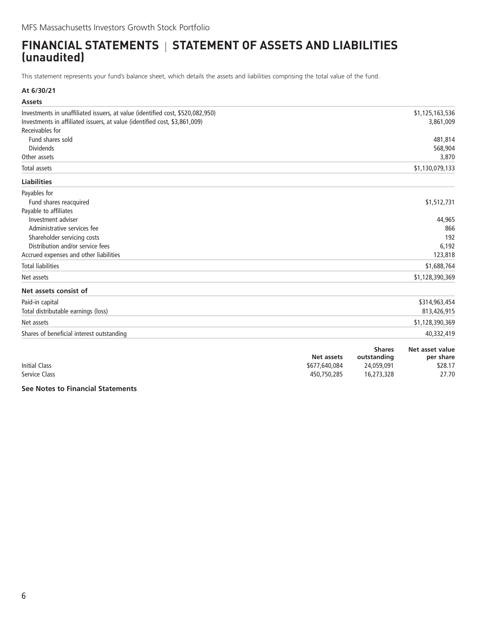# <span id="page-7-0"></span>**FINANCIAL STATEMENTS | STATEMENT OF ASSETS AND LIABILITIES (unaudited)**

This statement represents your fund's balance sheet, which details the assets and liabilities comprising the total value of the fund.

### **At 6/30/21**

| <b>Assets</b>                                                                  |                                  |
|--------------------------------------------------------------------------------|----------------------------------|
| Investments in unaffiliated issuers, at value (identified cost, \$520,082,950) | \$1,125,163,536                  |
| Investments in affiliated issuers, at value (identified cost, \$3,861,009)     | 3,861,009                        |
| Receivables for                                                                |                                  |
| Fund shares sold                                                               | 481,814                          |
| <b>Dividends</b>                                                               | 568,904                          |
| Other assets                                                                   | 3,870                            |
| Total assets                                                                   | \$1,130,079,133                  |
| <b>Liabilities</b>                                                             |                                  |
| Payables for                                                                   |                                  |
| Fund shares reacquired                                                         | \$1,512,731                      |
| Payable to affiliates                                                          |                                  |
| Investment adviser                                                             | 44,965                           |
| Administrative services fee                                                    | 866                              |
| Shareholder servicing costs                                                    | 192                              |
| Distribution and/or service fees                                               | 6,192                            |
| Accrued expenses and other liabilities                                         | 123,818                          |
| <b>Total liabilities</b>                                                       | \$1,688,764                      |
| Net assets                                                                     | \$1,128,390,369                  |
| Net assets consist of                                                          |                                  |
| Paid-in capital                                                                | \$314,963,454                    |
| Total distributable earnings (loss)                                            | 813,426,915                      |
| Net assets                                                                     | \$1,128,390,369                  |
| Shares of beneficial interest outstanding                                      | 40,332,419                       |
|                                                                                | <b>Shares</b><br>Net asset value |

|                      |               | ------      | <i></i>   |
|----------------------|---------------|-------------|-----------|
|                      | Net assets    | outstanding | per share |
| <b>Initial Class</b> | \$677,640,084 | 24,059,091  | \$28.17   |
| Service Class        | 450,750,285   | 16,273,328  | 27.70     |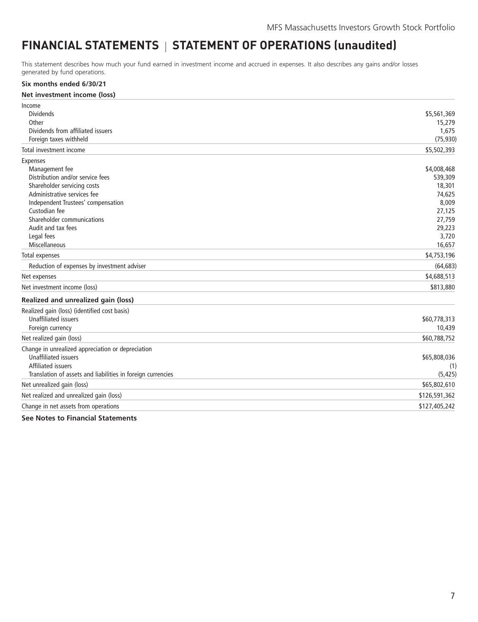# <span id="page-8-0"></span>FINANCIAL STATEMENTS | STATEMENT OF OPERATIONS (unaudited)

This statement describes how much your fund earned in investment income and accrued in expenses. It also describes any gains and/or losses generated by fund operations.

#### **Six months ended 6/30/21**

#### **Net investment income (loss)**

| Income                                                      |               |
|-------------------------------------------------------------|---------------|
| <b>Dividends</b>                                            | \$5,561,369   |
| Other                                                       | 15,279        |
| Dividends from affiliated issuers                           | 1,675         |
| Foreign taxes withheld                                      | (75, 930)     |
| Total investment income                                     | \$5,502,393   |
| <b>Expenses</b>                                             |               |
| Management fee                                              | \$4,008,468   |
| Distribution and/or service fees                            | 539,309       |
| Shareholder servicing costs                                 | 18,301        |
| Administrative services fee                                 | 74,625        |
| Independent Trustees' compensation                          | 8,009         |
| Custodian fee                                               | 27,125        |
| Shareholder communications                                  | 27,759        |
| Audit and tax fees                                          | 29,223        |
| Legal fees                                                  | 3,720         |
| Miscellaneous                                               | 16,657        |
| Total expenses                                              | \$4,753,196   |
| Reduction of expenses by investment adviser                 | (64, 683)     |
| Net expenses                                                | \$4,688,513   |
| Net investment income (loss)                                | \$813,880     |
| Realized and unrealized gain (loss)                         |               |
| Realized gain (loss) (identified cost basis)                |               |
| <b>Unaffiliated issuers</b>                                 | \$60,778,313  |
| Foreign currency                                            | 10,439        |
| Net realized gain (loss)                                    | \$60,788,752  |
| Change in unrealized appreciation or depreciation           |               |
| <b>Unaffiliated issuers</b>                                 | \$65,808,036  |
| Affiliated issuers                                          | (1)           |
| Translation of assets and liabilities in foreign currencies | (5, 425)      |
| Net unrealized gain (loss)                                  | \$65,802,610  |
| Net realized and unrealized gain (loss)                     | \$126,591,362 |
| Change in net assets from operations                        | \$127,405,242 |
|                                                             |               |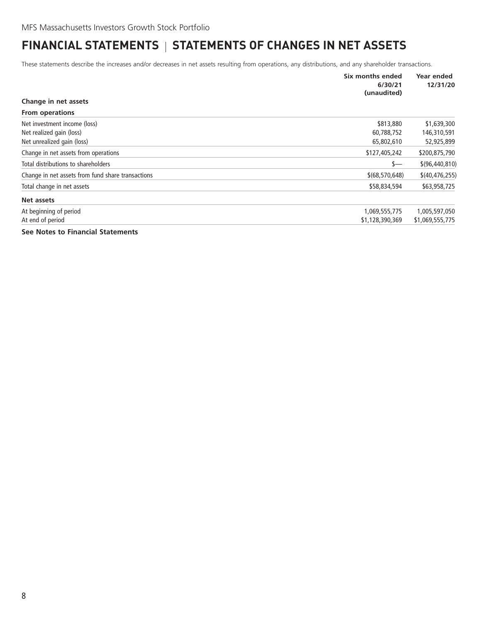# <span id="page-9-0"></span>**FINANCIAL STATEMENTS | STATEMENTS OF CHANGES IN NET ASSETS**

These statements describe the increases and/or decreases in net assets resulting from operations, any distributions, and any shareholder transactions.

|                                                   | Six months ended<br>6/30/21<br>(unaudited) | Year ended<br>12/31/20 |
|---------------------------------------------------|--------------------------------------------|------------------------|
| Change in net assets                              |                                            |                        |
| <b>From operations</b>                            |                                            |                        |
| Net investment income (loss)                      | \$813,880                                  | \$1,639,300            |
| Net realized gain (loss)                          | 60,788,752                                 | 146,310,591            |
| Net unrealized gain (loss)                        | 65,802,610                                 | 52,925,899             |
| Change in net assets from operations              | \$127,405,242                              | \$200,875,790          |
| Total distributions to shareholders               | \$—                                        | \$(96, 440, 810)       |
| Change in net assets from fund share transactions | \$(68, 570, 648)                           | \$(40, 476, 255)       |
| Total change in net assets                        | \$58,834,594                               | \$63,958,725           |
| Net assets                                        |                                            |                        |
| At beginning of period                            | 1,069,555,775                              | 1,005,597,050          |
| At end of period                                  | \$1,128,390,369                            | \$1,069,555,775        |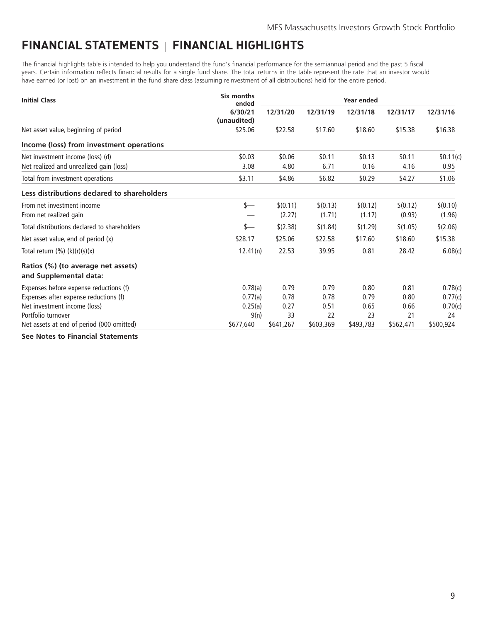# <span id="page-10-0"></span>**FINANCIAL STATEMENTS FINANCIAL HIGHLIGHTS**

The financial highlights table is intended to help you understand the fund's financial performance for the semiannual period and the past 5 fiscal years. Certain information reflects financial results for a single fund share. The total returns in the table represent the rate that an investor would have earned (or lost) on an investment in the fund share class (assuming reinvestment of all distributions) held for the entire period.

| <b>Initial Class</b>                                         | Six months<br>ended    |           | Year ended |           |           |           |  |  |
|--------------------------------------------------------------|------------------------|-----------|------------|-----------|-----------|-----------|--|--|
|                                                              | 6/30/21<br>(unaudited) | 12/31/20  | 12/31/19   | 12/31/18  | 12/31/17  | 12/31/16  |  |  |
| Net asset value, beginning of period                         | \$25.06                | \$22.58   | \$17.60    | \$18.60   | \$15.38   | \$16.38   |  |  |
| Income (loss) from investment operations                     |                        |           |            |           |           |           |  |  |
| Net investment income (loss) (d)                             | \$0.03                 | \$0.06    | \$0.11     | \$0.13    | \$0.11    | \$0.11(c) |  |  |
| Net realized and unrealized gain (loss)                      | 3.08                   | 4.80      | 6.71       | 0.16      | 4.16      | 0.95      |  |  |
| Total from investment operations                             | \$3.11                 | \$4.86    | \$6.82     | \$0.29    | \$4.27    | \$1.06    |  |  |
| Less distributions declared to shareholders                  |                        |           |            |           |           |           |  |  |
| From net investment income                                   | $s-$                   | \$(0.11)  | \$(0.13)   | \$(0.12)  | \$(0.12)  | \$(0.10)  |  |  |
| From net realized gain                                       |                        | (2.27)    | (1.71)     | (1.17)    | (0.93)    | (1.96)    |  |  |
| Total distributions declared to shareholders                 | s—                     | \$(2.38)  | \$(1.84)   | \$(1.29)  | \$(1.05)  | \$(2.06)  |  |  |
| Net asset value, end of period (x)                           | \$28.17                | \$25.06   | \$22.58    | \$17.60   | \$18.60   | \$15.38   |  |  |
| Total return $(\%) (k)(r)(s)(x)$                             | 12.41(n)               | 22.53     | 39.95      | 0.81      | 28.42     | 6.08(c)   |  |  |
| Ratios (%) (to average net assets)<br>and Supplemental data: |                        |           |            |           |           |           |  |  |
| Expenses before expense reductions (f)                       | 0.78(a)                | 0.79      | 0.79       | 0.80      | 0.81      | 0.78(c)   |  |  |
| Expenses after expense reductions (f)                        | 0.77(a)                | 0.78      | 0.78       | 0.79      | 0.80      | 0.77(c)   |  |  |
| Net investment income (loss)                                 | 0.25(a)                | 0.27      | 0.51       | 0.65      | 0.66      | 0.70(c)   |  |  |
| Portfolio turnover                                           | 9(n)                   | 33        | 22         | 23        | 21        | 24        |  |  |
| Net assets at end of period (000 omitted)                    | \$677,640              | \$641,267 | \$603,369  | \$493,783 | \$562,471 | \$500,924 |  |  |
| $\sigma$ as a set the set of $\sigma$                        |                        |           |            |           |           |           |  |  |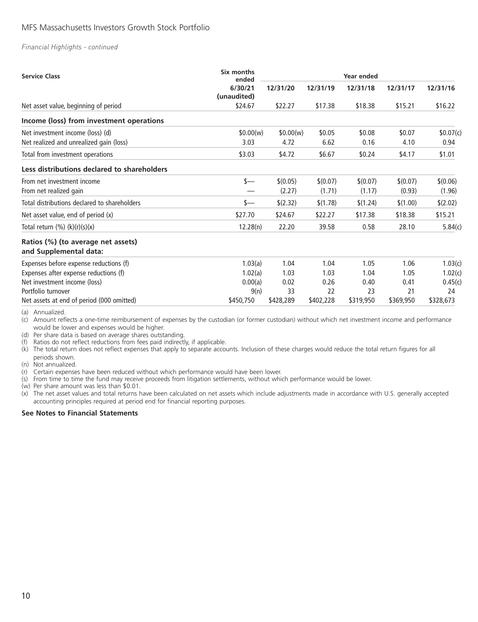#### *Financial Highlights - continued*

| <b>Service Class</b>                                         | Six months<br>ended    |           |           | <b>Year ended</b> |           |           |
|--------------------------------------------------------------|------------------------|-----------|-----------|-------------------|-----------|-----------|
|                                                              | 6/30/21<br>(unaudited) | 12/31/20  | 12/31/19  | 12/31/18          | 12/31/17  | 12/31/16  |
| Net asset value, beginning of period                         | \$24.67                | \$22.27   | \$17.38   | \$18.38           | \$15.21   | \$16.22   |
| Income (loss) from investment operations                     |                        |           |           |                   |           |           |
| Net investment income (loss) (d)                             | \$0.00(w)              | \$0.00(w) | \$0.05    | \$0.08            | \$0.07    | \$0.07(c) |
| Net realized and unrealized gain (loss)                      | 3.03                   | 4.72      | 6.62      | 0.16              | 4.10      | 0.94      |
| Total from investment operations                             | \$3.03                 | \$4.72    | \$6.67    | \$0.24            | \$4.17    | \$1.01    |
| Less distributions declared to shareholders                  |                        |           |           |                   |           |           |
| From net investment income                                   | s—                     | \$(0.05)  | \$(0.07)  | \$(0.07)          | \$(0.07)  | \$(0.06)  |
| From net realized gain                                       |                        | (2.27)    | (1.71)    | (1.17)            | (0.93)    | (1.96)    |
| Total distributions declared to shareholders                 | s—                     | \$(2.32)  | \$(1.78)  | \$(1.24)          | \$(1.00)  | \$(2.02)  |
| Net asset value, end of period (x)                           | \$27.70                | \$24.67   | \$22.27   | \$17.38           | \$18.38   | \$15.21   |
| Total return $(\%) (k)(r)(s)(x)$                             | 12.28(n)               | 22.20     | 39.58     | 0.58              | 28.10     | 5.84(c)   |
| Ratios (%) (to average net assets)<br>and Supplemental data: |                        |           |           |                   |           |           |
| Expenses before expense reductions (f)                       | 1.03(a)                | 1.04      | 1.04      | 1.05              | 1.06      | 1.03(c)   |
| Expenses after expense reductions (f)                        | 1.02(a)                | 1.03      | 1.03      | 1.04              | 1.05      | 1.02(c)   |
| Net investment income (loss)                                 | 0.00(a)                | 0.02      | 0.26      | 0.40              | 0.41      | 0.45(c)   |
| Portfolio turnover                                           | 9(n)                   | 33        | 22        | 23                | 21        | 24        |
| Net assets at end of period (000 omitted)                    | \$450,750              | \$428,289 | \$402,228 | \$319,950         | \$369,950 | \$328,673 |

(a) Annualized.

(c) Amount reflects a one-time reimbursement of expenses by the custodian (or former custodian) without which net investment income and performance would be lower and expenses would be higher.

(d) Per share data is based on average shares outstanding.

(f) Ratios do not reflect reductions from fees paid indirectly, if applicable.

(k) The total return does not reflect expenses that apply to separate accounts. Inclusion of these charges would reduce the total return figures for all periods shown.

(n) Not annualized.

(r) Certain expenses have been reduced without which performance would have been lower.

(s) From time to time the fund may receive proceeds from litigation settlements, without which performance would be lower.

(w) Per share amount was less than \$0.01.

(x) The net asset values and total returns have been calculated on net assets which include adjustments made in accordance with U.S. generally accepted accounting principles required at period end for financial reporting purposes.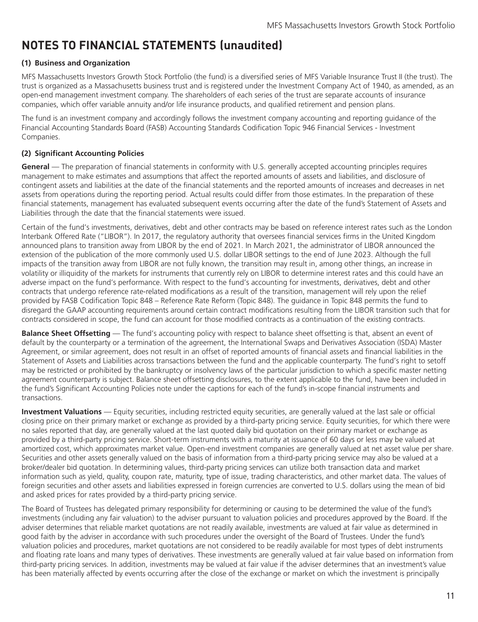# <span id="page-12-0"></span>**NOTES TO FINANCIAL STATEMENTS (unaudited)**

# **(1) Business and Organization**

MFS Massachusetts Investors Growth Stock Portfolio (the fund) is a diversified series of MFS Variable Insurance Trust II (the trust). The trust is organized as a Massachusetts business trust and is registered under the Investment Company Act of 1940, as amended, as an open-end management investment company. The shareholders of each series of the trust are separate accounts of insurance companies, which offer variable annuity and/or life insurance products, and qualified retirement and pension plans.

The fund is an investment company and accordingly follows the investment company accounting and reporting guidance of the Financial Accounting Standards Board (FASB) Accounting Standards Codification Topic 946 Financial Services - Investment Companies.

# **(2) Significant Accounting Policies**

**General** — The preparation of financial statements in conformity with U.S. generally accepted accounting principles requires management to make estimates and assumptions that affect the reported amounts of assets and liabilities, and disclosure of contingent assets and liabilities at the date of the financial statements and the reported amounts of increases and decreases in net assets from operations during the reporting period. Actual results could differ from those estimates. In the preparation of these financial statements, management has evaluated subsequent events occurring after the date of the fund's Statement of Assets and Liabilities through the date that the financial statements were issued.

Certain of the fund's investments, derivatives, debt and other contracts may be based on reference interest rates such as the London Interbank Offered Rate ("LIBOR"). In 2017, the regulatory authority that oversees financial services firms in the United Kingdom announced plans to transition away from LIBOR by the end of 2021. In March 2021, the administrator of LIBOR announced the extension of the publication of the more commonly used U.S. dollar LIBOR settings to the end of June 2023. Although the full impacts of the transition away from LIBOR are not fully known, the transition may result in, among other things, an increase in volatility or illiquidity of the markets for instruments that currently rely on LIBOR to determine interest rates and this could have an adverse impact on the fund's performance. With respect to the fund's accounting for investments, derivatives, debt and other contracts that undergo reference rate-related modifications as a result of the transition, management will rely upon the relief provided by FASB Codification Topic 848 – Reference Rate Reform (Topic 848). The guidance in Topic 848 permits the fund to disregard the GAAP accounting requirements around certain contract modifications resulting from the LIBOR transition such that for contracts considered in scope, the fund can account for those modified contracts as a continuation of the existing contracts.

**Balance Sheet Offsetting** — The fund's accounting policy with respect to balance sheet offsetting is that, absent an event of default by the counterparty or a termination of the agreement, the International Swaps and Derivatives Association (ISDA) Master Agreement, or similar agreement, does not result in an offset of reported amounts of financial assets and financial liabilities in the Statement of Assets and Liabilities across transactions between the fund and the applicable counterparty. The fund's right to setoff may be restricted or prohibited by the bankruptcy or insolvency laws of the particular jurisdiction to which a specific master netting agreement counterparty is subject. Balance sheet offsetting disclosures, to the extent applicable to the fund, have been included in the fund's Significant Accounting Policies note under the captions for each of the fund's in-scope financial instruments and transactions.

**Investment Valuations** — Equity securities, including restricted equity securities, are generally valued at the last sale or official closing price on their primary market or exchange as provided by a third-party pricing service. Equity securities, for which there were no sales reported that day, are generally valued at the last quoted daily bid quotation on their primary market or exchange as provided by a third-party pricing service. Short-term instruments with a maturity at issuance of 60 days or less may be valued at amortized cost, which approximates market value. Open-end investment companies are generally valued at net asset value per share. Securities and other assets generally valued on the basis of information from a third-party pricing service may also be valued at a broker/dealer bid quotation. In determining values, third-party pricing services can utilize both transaction data and market information such as yield, quality, coupon rate, maturity, type of issue, trading characteristics, and other market data. The values of foreign securities and other assets and liabilities expressed in foreign currencies are converted to U.S. dollars using the mean of bid and asked prices for rates provided by a third-party pricing service.

The Board of Trustees has delegated primary responsibility for determining or causing to be determined the value of the fund's investments (including any fair valuation) to the adviser pursuant to valuation policies and procedures approved by the Board. If the adviser determines that reliable market quotations are not readily available, investments are valued at fair value as determined in good faith by the adviser in accordance with such procedures under the oversight of the Board of Trustees. Under the fund's valuation policies and procedures, market quotations are not considered to be readily available for most types of debt instruments and floating rate loans and many types of derivatives. These investments are generally valued at fair value based on information from third-party pricing services. In addition, investments may be valued at fair value if the adviser determines that an investment's value has been materially affected by events occurring after the close of the exchange or market on which the investment is principally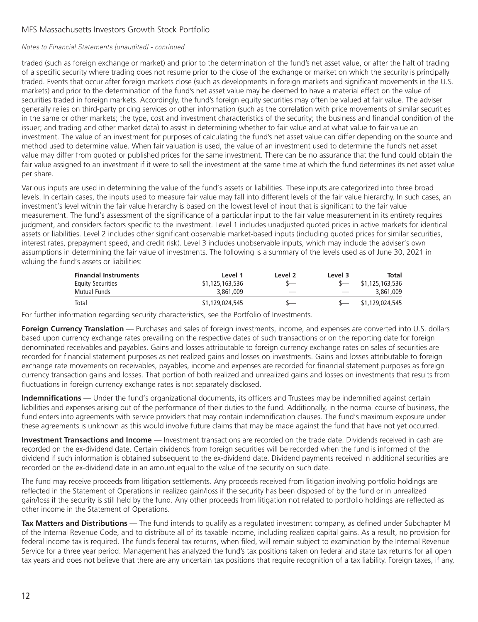#### *Notes to Financial Statements (unaudited) - continued*

traded (such as foreign exchange or market) and prior to the determination of the fund's net asset value, or after the halt of trading of a specific security where trading does not resume prior to the close of the exchange or market on which the security is principally traded. Events that occur after foreign markets close (such as developments in foreign markets and significant movements in the U.S. markets) and prior to the determination of the fund's net asset value may be deemed to have a material effect on the value of securities traded in foreign markets. Accordingly, the fund's foreign equity securities may often be valued at fair value. The adviser generally relies on third-party pricing services or other information (such as the correlation with price movements of similar securities in the same or other markets; the type, cost and investment characteristics of the security; the business and financial condition of the issuer; and trading and other market data) to assist in determining whether to fair value and at what value to fair value an investment. The value of an investment for purposes of calculating the fund's net asset value can differ depending on the source and method used to determine value. When fair valuation is used, the value of an investment used to determine the fund's net asset value may differ from quoted or published prices for the same investment. There can be no assurance that the fund could obtain the fair value assigned to an investment if it were to sell the investment at the same time at which the fund determines its net asset value per share.

Various inputs are used in determining the value of the fund's assets or liabilities. These inputs are categorized into three broad levels. In certain cases, the inputs used to measure fair value may fall into different levels of the fair value hierarchy. In such cases, an investment's level within the fair value hierarchy is based on the lowest level of input that is significant to the fair value measurement. The fund's assessment of the significance of a particular input to the fair value measurement in its entirety requires judgment, and considers factors specific to the investment. Level 1 includes unadjusted quoted prices in active markets for identical assets or liabilities. Level 2 includes other significant observable market-based inputs (including quoted prices for similar securities, interest rates, prepayment speed, and credit risk). Level 3 includes unobservable inputs, which may include the adviser's own assumptions in determining the fair value of investments. The following is a summary of the levels used as of June 30, 2021 in valuing the fund's assets or liabilities:

| <b>Financial Instruments</b> | Level 1         | Level 2 | Level 3 | Total           |
|------------------------------|-----------------|---------|---------|-----------------|
| <b>Equity Securities</b>     | \$1,125,163,536 |         |         | \$1,125,163,536 |
| Mutual Funds                 | 3,861,009       |         |         | 3,861,009       |
| Total                        | \$1,129,024,545 |         |         | \$1,129,024,545 |

For further information regarding security characteristics, see the Portfolio of Investments.

**Foreign Currency Translation** — Purchases and sales of foreign investments, income, and expenses are converted into U.S. dollars based upon currency exchange rates prevailing on the respective dates of such transactions or on the reporting date for foreign denominated receivables and payables. Gains and losses attributable to foreign currency exchange rates on sales of securities are recorded for financial statement purposes as net realized gains and losses on investments. Gains and losses attributable to foreign exchange rate movements on receivables, payables, income and expenses are recorded for financial statement purposes as foreign currency transaction gains and losses. That portion of both realized and unrealized gains and losses on investments that results from fluctuations in foreign currency exchange rates is not separately disclosed.

**Indemnifications** — Under the fund's organizational documents, its officers and Trustees may be indemnified against certain liabilities and expenses arising out of the performance of their duties to the fund. Additionally, in the normal course of business, the fund enters into agreements with service providers that may contain indemnification clauses. The fund's maximum exposure under these agreements is unknown as this would involve future claims that may be made against the fund that have not yet occurred.

**Investment Transactions and Income** — Investment transactions are recorded on the trade date. Dividends received in cash are recorded on the ex-dividend date. Certain dividends from foreign securities will be recorded when the fund is informed of the dividend if such information is obtained subsequent to the ex-dividend date. Dividend payments received in additional securities are recorded on the ex-dividend date in an amount equal to the value of the security on such date.

The fund may receive proceeds from litigation settlements. Any proceeds received from litigation involving portfolio holdings are reflected in the Statement of Operations in realized gain/loss if the security has been disposed of by the fund or in unrealized gain/loss if the security is still held by the fund. Any other proceeds from litigation not related to portfolio holdings are reflected as other income in the Statement of Operations.

**Tax Matters and Distributions** — The fund intends to qualify as a regulated investment company, as defined under Subchapter M of the Internal Revenue Code, and to distribute all of its taxable income, including realized capital gains. As a result, no provision for federal income tax is required. The fund's federal tax returns, when filed, will remain subject to examination by the Internal Revenue Service for a three year period. Management has analyzed the fund's tax positions taken on federal and state tax returns for all open tax years and does not believe that there are any uncertain tax positions that require recognition of a tax liability. Foreign taxes, if any,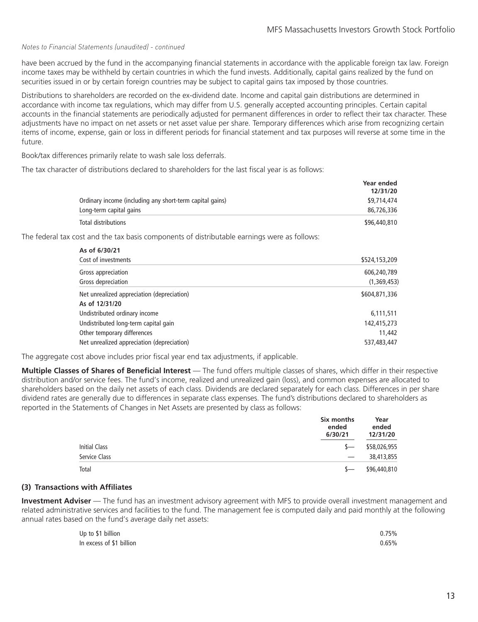#### *Notes to Financial Statements (unaudited) - continued*

have been accrued by the fund in the accompanying financial statements in accordance with the applicable foreign tax law. Foreign income taxes may be withheld by certain countries in which the fund invests. Additionally, capital gains realized by the fund on securities issued in or by certain foreign countries may be subject to capital gains tax imposed by those countries.

Distributions to shareholders are recorded on the ex-dividend date. Income and capital gain distributions are determined in accordance with income tax regulations, which may differ from U.S. generally accepted accounting principles. Certain capital accounts in the financial statements are periodically adjusted for permanent differences in order to reflect their tax character. These adjustments have no impact on net assets or net asset value per share. Temporary differences which arise from recognizing certain items of income, expense, gain or loss in different periods for financial statement and tax purposes will reverse at some time in the future.

Book/tax differences primarily relate to wash sale loss deferrals.

The tax character of distributions declared to shareholders for the last fiscal year is as follows:

|                                                          | <b>Year ended</b> |
|----------------------------------------------------------|-------------------|
|                                                          | 12/31/20          |
| Ordinary income (including any short-term capital gains) | \$9,714,474       |
| Long-term capital gains                                  | 86,726,336        |
| Total distributions                                      | \$96,440,810      |

The federal tax cost and the tax basis components of distributable earnings were as follows:

| As of 6/30/21                              |               |
|--------------------------------------------|---------------|
| Cost of investments                        | \$524,153,209 |
| Gross appreciation                         | 606,240,789   |
| Gross depreciation                         | (1,369,453)   |
| Net unrealized appreciation (depreciation) | \$604,871,336 |
| As of 12/31/20                             |               |
| Undistributed ordinary income              | 6,111,511     |
| Undistributed long-term capital gain       | 142,415,273   |
| Other temporary differences                | 11,442        |
| Net unrealized appreciation (depreciation) | 537,483,447   |

The aggregate cost above includes prior fiscal year end tax adjustments, if applicable.

**Multiple Classes of Shares of Beneficial Interest** — The fund offers multiple classes of shares, which differ in their respective distribution and/or service fees. The fund's income, realized and unrealized gain (loss), and common expenses are allocated to shareholders based on the daily net assets of each class. Dividends are declared separately for each class. Differences in per share dividend rates are generally due to differences in separate class expenses. The fund's distributions declared to shareholders as reported in the Statements of Changes in Net Assets are presented by class as follows:

|                      | Six months<br>ended<br>6/30/21  | Year<br>ended<br>12/31/20 |
|----------------------|---------------------------------|---------------------------|
| <b>Initial Class</b> | $S-$                            | \$58,026,955              |
| Service Class        | $\hspace{0.1mm}-\hspace{0.1mm}$ | 38,413,855                |
| Total                | $S-$                            | \$96,440,810              |

#### **(3) Transactions with Affiliates**

**Investment Adviser** — The fund has an investment advisory agreement with MFS to provide overall investment management and related administrative services and facilities to the fund. The management fee is computed daily and paid monthly at the following annual rates based on the fund's average daily net assets:

| Up to \$1 billion        | 0.75% |
|--------------------------|-------|
| In excess of \$1 billion | 0.65% |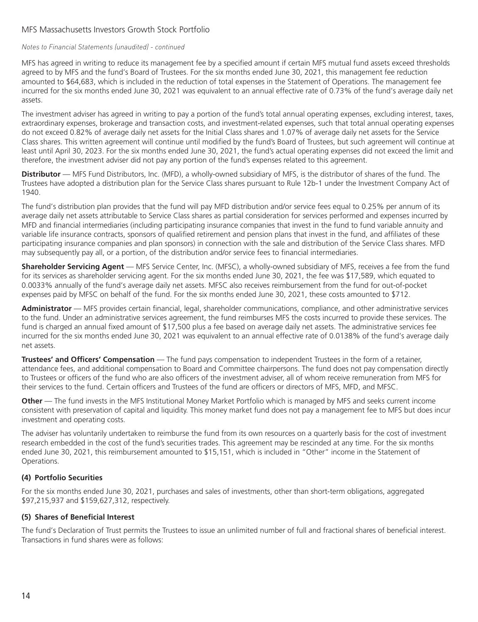#### *Notes to Financial Statements (unaudited) - continued*

MFS has agreed in writing to reduce its management fee by a specified amount if certain MFS mutual fund assets exceed thresholds agreed to by MFS and the fund's Board of Trustees. For the six months ended June 30, 2021, this management fee reduction amounted to \$64,683, which is included in the reduction of total expenses in the Statement of Operations. The management fee incurred for the six months ended June 30, 2021 was equivalent to an annual effective rate of 0.73% of the fund's average daily net assets.

The investment adviser has agreed in writing to pay a portion of the fund's total annual operating expenses, excluding interest, taxes, extraordinary expenses, brokerage and transaction costs, and investment-related expenses, such that total annual operating expenses do not exceed 0.82% of average daily net assets for the Initial Class shares and 1.07% of average daily net assets for the Service Class shares. This written agreement will continue until modified by the fund's Board of Trustees, but such agreement will continue at least until April 30, 2023. For the six months ended June 30, 2021, the fund's actual operating expenses did not exceed the limit and therefore, the investment adviser did not pay any portion of the fund's expenses related to this agreement.

**Distributor** — MFS Fund Distributors, Inc. (MFD), a wholly-owned subsidiary of MFS, is the distributor of shares of the fund. The Trustees have adopted a distribution plan for the Service Class shares pursuant to Rule 12b-1 under the Investment Company Act of 1940.

The fund's distribution plan provides that the fund will pay MFD distribution and/or service fees equal to 0.25% per annum of its average daily net assets attributable to Service Class shares as partial consideration for services performed and expenses incurred by MFD and financial intermediaries (including participating insurance companies that invest in the fund to fund variable annuity and variable life insurance contracts, sponsors of qualified retirement and pension plans that invest in the fund, and affiliates of these participating insurance companies and plan sponsors) in connection with the sale and distribution of the Service Class shares. MFD may subsequently pay all, or a portion, of the distribution and/or service fees to financial intermediaries.

**Shareholder Servicing Agent** — MFS Service Center, Inc. (MFSC), a wholly-owned subsidiary of MFS, receives a fee from the fund for its services as shareholder servicing agent. For the six months ended June 30, 2021, the fee was \$17,589, which equated to 0.0033% annually of the fund's average daily net assets. MFSC also receives reimbursement from the fund for out-of-pocket expenses paid by MFSC on behalf of the fund. For the six months ended June 30, 2021, these costs amounted to \$712.

**Administrator** — MFS provides certain financial, legal, shareholder communications, compliance, and other administrative services to the fund. Under an administrative services agreement, the fund reimburses MFS the costs incurred to provide these services. The fund is charged an annual fixed amount of \$17,500 plus a fee based on average daily net assets. The administrative services fee incurred for the six months ended June 30, 2021 was equivalent to an annual effective rate of 0.0138% of the fund's average daily net assets.

**Trustees' and Officers' Compensation** — The fund pays compensation to independent Trustees in the form of a retainer, attendance fees, and additional compensation to Board and Committee chairpersons. The fund does not pay compensation directly to Trustees or officers of the fund who are also officers of the investment adviser, all of whom receive remuneration from MFS for their services to the fund. Certain officers and Trustees of the fund are officers or directors of MFS, MFD, and MFSC.

**Other** — The fund invests in the MFS Institutional Money Market Portfolio which is managed by MFS and seeks current income consistent with preservation of capital and liquidity. This money market fund does not pay a management fee to MFS but does incur investment and operating costs.

The adviser has voluntarily undertaken to reimburse the fund from its own resources on a quarterly basis for the cost of investment research embedded in the cost of the fund's securities trades. This agreement may be rescinded at any time. For the six months ended June 30, 2021, this reimbursement amounted to \$15,151, which is included in "Other" income in the Statement of Operations.

### **(4) Portfolio Securities**

For the six months ended June 30, 2021, purchases and sales of investments, other than short-term obligations, aggregated \$97,215,937 and \$159,627,312, respectively.

### **(5) Shares of Beneficial Interest**

The fund's Declaration of Trust permits the Trustees to issue an unlimited number of full and fractional shares of beneficial interest. Transactions in fund shares were as follows: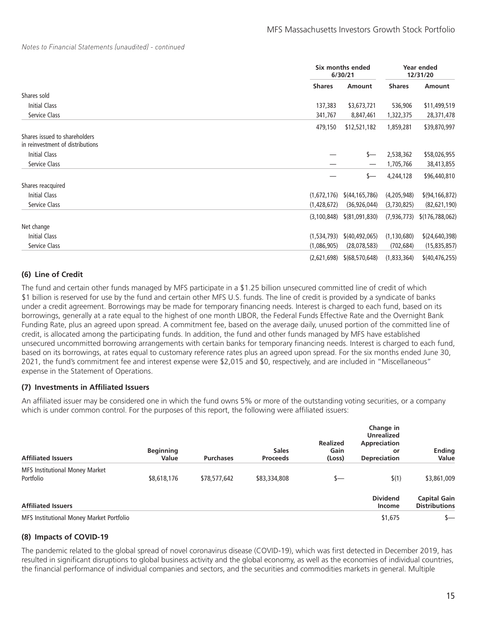#### *Notes to Financial Statements (unaudited) - continued*

|                                                                   |               | Six months ended<br>6/30/21 |               | Year ended<br>12/31/20 |  |
|-------------------------------------------------------------------|---------------|-----------------------------|---------------|------------------------|--|
|                                                                   | <b>Shares</b> | Amount                      | <b>Shares</b> | Amount                 |  |
| Shares sold                                                       |               |                             |               |                        |  |
| <b>Initial Class</b>                                              | 137,383       | \$3,673,721                 | 536,906       | \$11,499,519           |  |
| Service Class                                                     | 341,767       | 8,847,461                   | 1,322,375     | 28,371,478             |  |
|                                                                   | 479,150       | \$12,521,182                | 1,859,281     | \$39,870,997           |  |
| Shares issued to shareholders<br>in reinvestment of distributions |               |                             |               |                        |  |
| <b>Initial Class</b>                                              |               | \$—                         | 2,538,362     | \$58,026,955           |  |
| Service Class                                                     | —             | $\overline{\phantom{0}}$    | 1,705,766     | 38,413,855             |  |
|                                                                   |               | \$—                         | 4,244,128     | \$96,440,810           |  |
| Shares reacquired                                                 |               |                             |               |                        |  |
| <b>Initial Class</b>                                              | (1,672,176)   | \$(44, 165, 786)            | (4,205,948)   | \$(94, 166, 872)       |  |
| Service Class                                                     | (1,428,672)   | (36, 926, 044)              | (3,730,825)   | (82,621,190)           |  |
|                                                                   | (3, 100, 848) | \$ (81,091,830)             | (7,936,773)   | \$(176, 788, 062)      |  |
| Net change                                                        |               |                             |               |                        |  |
| Initial Class                                                     | (1,534,793)   | \$(40,492,065)              | (1, 130, 680) | \$(24, 640, 398)       |  |
| Service Class                                                     | (1,086,905)   | (28,078,583)                | (702, 684)    | (15, 835, 857)         |  |
|                                                                   | (2,621,698)   | \$(68, 570, 648)            | (1,833,364)   | \$(40, 476, 255)       |  |

# **(6) Line of Credit**

The fund and certain other funds managed by MFS participate in a \$1.25 billion unsecured committed line of credit of which \$1 billion is reserved for use by the fund and certain other MFS U.S. funds. The line of credit is provided by a syndicate of banks under a credit agreement. Borrowings may be made for temporary financing needs. Interest is charged to each fund, based on its borrowings, generally at a rate equal to the highest of one month LIBOR, the Federal Funds Effective Rate and the Overnight Bank Funding Rate, plus an agreed upon spread. A commitment fee, based on the average daily, unused portion of the committed line of credit, is allocated among the participating funds. In addition, the fund and other funds managed by MFS have established unsecured uncommitted borrowing arrangements with certain banks for temporary financing needs. Interest is charged to each fund, based on its borrowings, at rates equal to customary reference rates plus an agreed upon spread. For the six months ended June 30, 2021, the fund's commitment fee and interest expense were \$2,015 and \$0, respectively, and are included in "Miscellaneous" expense in the Statement of Operations.

#### **(7) Investments in Affiliated Issuers**

An affiliated issuer may be considered one in which the fund owns 5% or more of the outstanding voting securities, or a company which is under common control. For the purposes of this report, the following were affiliated issuers:

| <b>Affiliated Issuers</b>                          | <b>Beginning</b><br>Value | <b>Purchases</b> | <b>Sales</b><br><b>Proceeds</b> | <b>Realized</b><br>Gain<br>(Loss) | Change in<br><b>Unrealized</b><br>Appreciation<br>or<br><b>Depreciation</b> | <b>Ending</b><br>Value                      |
|----------------------------------------------------|---------------------------|------------------|---------------------------------|-----------------------------------|-----------------------------------------------------------------------------|---------------------------------------------|
| <b>MFS Institutional Money Market</b><br>Portfolio | \$8,618,176               | \$78,577,642     | \$83,334,808                    | s—                                | \$(1)                                                                       | \$3,861,009                                 |
| <b>Affiliated Issuers</b>                          |                           |                  |                                 |                                   | <b>Dividend</b><br>Income                                                   | <b>Capital Gain</b><br><b>Distributions</b> |
| MFS Institutional Money Market Portfolio           |                           |                  |                                 |                                   | \$1,675                                                                     | $S-$                                        |

### **(8) Impacts of COVID-19**

The pandemic related to the global spread of novel coronavirus disease (COVID-19), which was first detected in December 2019, has resulted in significant disruptions to global business activity and the global economy, as well as the economies of individual countries, the financial performance of individual companies and sectors, and the securities and commodities markets in general. Multiple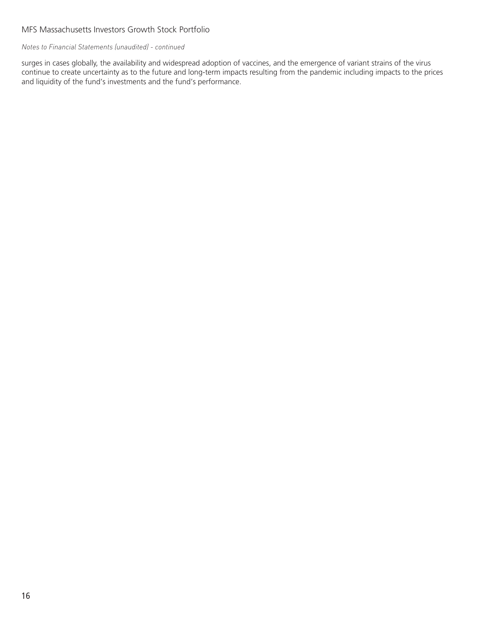### *Notes to Financial Statements (unaudited) - continued*

surges in cases globally, the availability and widespread adoption of vaccines, and the emergence of variant strains of the virus continue to create uncertainty as to the future and long-term impacts resulting from the pandemic including impacts to the prices and liquidity of the fund's investments and the fund's performance.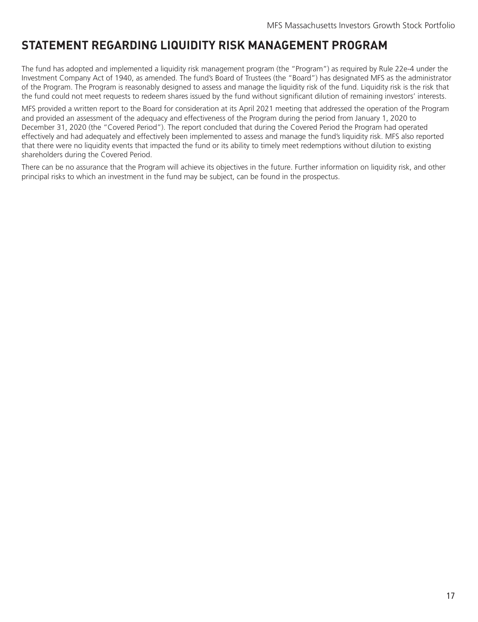# <span id="page-18-0"></span>**STATEMENT REGARDING LIQUIDITY RISK MANAGEMENT PROGRAM**

The fund has adopted and implemented a liquidity risk management program (the "Program") as required by Rule 22e-4 under the Investment Company Act of 1940, as amended. The fund's Board of Trustees (the "Board") has designated MFS as the administrator of the Program. The Program is reasonably designed to assess and manage the liquidity risk of the fund. Liquidity risk is the risk that the fund could not meet requests to redeem shares issued by the fund without significant dilution of remaining investors' interests.

MFS provided a written report to the Board for consideration at its April 2021 meeting that addressed the operation of the Program and provided an assessment of the adequacy and effectiveness of the Program during the period from January 1, 2020 to December 31, 2020 (the "Covered Period"). The report concluded that during the Covered Period the Program had operated effectively and had adequately and effectively been implemented to assess and manage the fund's liquidity risk. MFS also reported that there were no liquidity events that impacted the fund or its ability to timely meet redemptions without dilution to existing shareholders during the Covered Period.

There can be no assurance that the Program will achieve its objectives in the future. Further information on liquidity risk, and other principal risks to which an investment in the fund may be subject, can be found in the prospectus.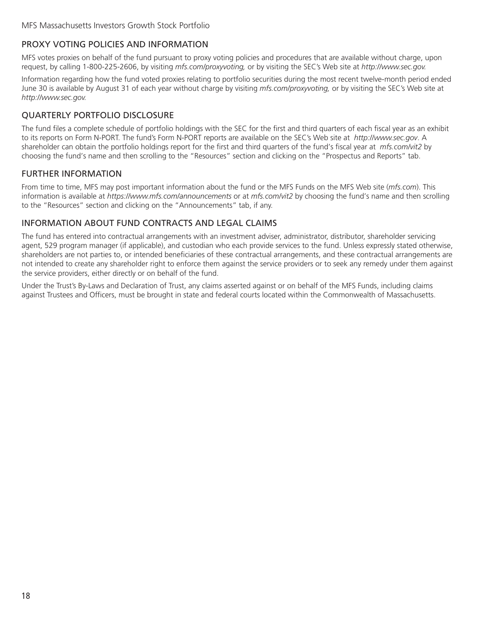# <span id="page-19-0"></span>PROXY VOTING POLICIES AND INFORMATION

MFS votes proxies on behalf of the fund pursuant to proxy voting policies and procedures that are available without charge, upon request, by calling 1-800-225-2606, by visiting *mfs.com/proxyvoting,* or by visiting the SEC's Web site at *http://www.sec.gov.*

Information regarding how the fund voted proxies relating to portfolio securities during the most recent twelve-month period ended June 30 is available by August 31 of each year without charge by visiting *mfs.com/proxyvoting,* or by visiting the SEC's Web site at *http://www.sec.gov.*

# QUARTERLY PORTFOLIO DISCLOSURE

The fund files a complete schedule of portfolio holdings with the SEC for the first and third quarters of each fiscal year as an exhibit to its reports on Form N-PORT. The fund's Form N-PORT reports are available on the SEC's Web site at *http://www.sec.gov*. A shareholder can obtain the portfolio holdings report for the first and third quarters of the fund's fiscal year at *mfs.com/vit2* by choosing the fund's name and then scrolling to the "Resources" section and clicking on the "Prospectus and Reports" tab.

# FURTHER INFORMATION

From time to time, MFS may post important information about the fund or the MFS Funds on the MFS Web site (*mfs.com*). This information is available at *https://www.mfs.com/announcements* or at *mfs.com/vit2* by choosing the fund's name and then scrolling to the "Resources" section and clicking on the "Announcements" tab, if any.

# INFORMATION ABOUT FUND CONTRACTS AND LEGAL CLAIMS

The fund has entered into contractual arrangements with an investment adviser, administrator, distributor, shareholder servicing agent, 529 program manager (if applicable), and custodian who each provide services to the fund. Unless expressly stated otherwise, shareholders are not parties to, or intended beneficiaries of these contractual arrangements, and these contractual arrangements are not intended to create any shareholder right to enforce them against the service providers or to seek any remedy under them against the service providers, either directly or on behalf of the fund.

Under the Trust's By-Laws and Declaration of Trust, any claims asserted against or on behalf of the MFS Funds, including claims against Trustees and Officers, must be brought in state and federal courts located within the Commonwealth of Massachusetts.